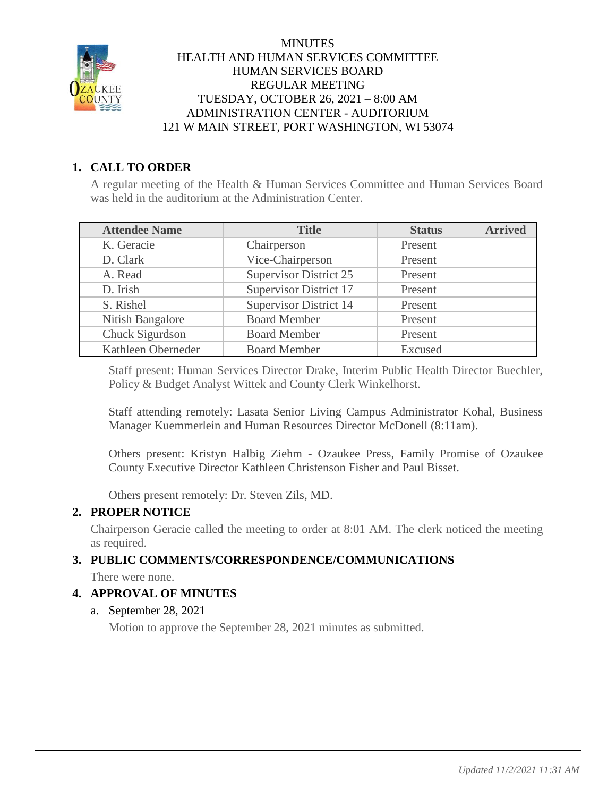

#### **MINUTES** HEALTH AND HUMAN SERVICES COMMITTEE HUMAN SERVICES BOARD REGULAR MEETING TUESDAY, OCTOBER 26, 2021 – 8:00 AM ADMINISTRATION CENTER - AUDITORIUM 121 W MAIN STREET, PORT WASHINGTON, WI 53074

# **1. CALL TO ORDER**

A regular meeting of the Health & Human Services Committee and Human Services Board was held in the auditorium at the Administration Center.

| <b>Attendee Name</b> | <b>Title</b>                  | <b>Status</b> | <b>Arrived</b> |
|----------------------|-------------------------------|---------------|----------------|
| K. Geracie           | Chairperson                   | Present       |                |
| D. Clark             | Vice-Chairperson              | Present       |                |
| A. Read              | <b>Supervisor District 25</b> | Present       |                |
| D. Irish             | Supervisor District 17        | Present       |                |
| S. Rishel            | <b>Supervisor District 14</b> | Present       |                |
| Nitish Bangalore     | <b>Board Member</b>           | Present       |                |
| Chuck Sigurdson      | <b>Board Member</b>           | Present       |                |
| Kathleen Oberneder   | <b>Board Member</b>           | Excused       |                |

Staff present: Human Services Director Drake, Interim Public Health Director Buechler, Policy & Budget Analyst Wittek and County Clerk Winkelhorst.

Staff attending remotely: Lasata Senior Living Campus Administrator Kohal, Business Manager Kuemmerlein and Human Resources Director McDonell (8:11am).

Others present: Kristyn Halbig Ziehm - Ozaukee Press, Family Promise of Ozaukee County Executive Director Kathleen Christenson Fisher and Paul Bisset.

Others present remotely: Dr. Steven Zils, MD.

## **2. PROPER NOTICE**

Chairperson Geracie called the meeting to order at 8:01 AM. The clerk noticed the meeting as required.

## **3. PUBLIC COMMENTS/CORRESPONDENCE/COMMUNICATIONS**

There were none.

## **4. APPROVAL OF MINUTES**

## a. September 28, 2021

Motion to approve the September 28, 2021 minutes as submitted.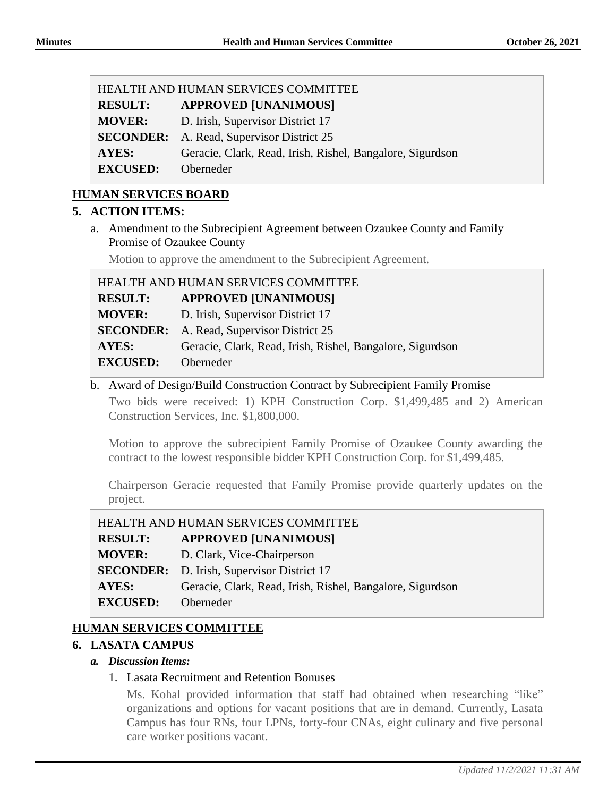| HEALTH AND HUMAN SERVICES COMMITTEE |                                                           |  |  |
|-------------------------------------|-----------------------------------------------------------|--|--|
| <b>RESULT:</b>                      | <b>APPROVED [UNANIMOUS]</b>                               |  |  |
| <b>MOVER:</b>                       | D. Irish, Supervisor District 17                          |  |  |
|                                     | <b>SECONDER:</b> A. Read, Supervisor District 25          |  |  |
| <b>AYES:</b>                        | Geracie, Clark, Read, Irish, Rishel, Bangalore, Sigurdson |  |  |
| <b>EXCUSED:</b>                     | Oberneder                                                 |  |  |

## **HUMAN SERVICES BOARD**

#### **5. ACTION ITEMS:**

a. Amendment to the Subrecipient Agreement between Ozaukee County and Family Promise of Ozaukee County

Motion to approve the amendment to the Subrecipient Agreement.

| HEALTH AND HUMAN SERVICES COMMITTEE |                                                           |  |  |  |
|-------------------------------------|-----------------------------------------------------------|--|--|--|
| <b>RESULT:</b>                      | <b>APPROVED [UNANIMOUS]</b>                               |  |  |  |
| <b>MOVER:</b>                       | D. Irish, Supervisor District 17                          |  |  |  |
|                                     | <b>SECONDER:</b> A. Read, Supervisor District 25          |  |  |  |
| AYES:                               | Geracie, Clark, Read, Irish, Rishel, Bangalore, Sigurdson |  |  |  |
| <b>EXCUSED:</b>                     | Oberneder                                                 |  |  |  |

b. Award of Design/Build Construction Contract by Subrecipient Family Promise

Two bids were received: 1) KPH Construction Corp. \$1,499,485 and 2) American Construction Services, Inc. \$1,800,000.

Motion to approve the subrecipient Family Promise of Ozaukee County awarding the contract to the lowest responsible bidder KPH Construction Corp. for \$1,499,485.

Chairperson Geracie requested that Family Promise provide quarterly updates on the project.

| HEALTH AND HUMAN SERVICES COMMITTEE |                                                           |  |  |
|-------------------------------------|-----------------------------------------------------------|--|--|
| <b>RESULT:</b>                      | <b>APPROVED [UNANIMOUS]</b>                               |  |  |
| <b>MOVER:</b>                       | D. Clark, Vice-Chairperson                                |  |  |
|                                     | <b>SECONDER:</b> D. Irish, Supervisor District 17         |  |  |
| AYES:                               | Geracie, Clark, Read, Irish, Rishel, Bangalore, Sigurdson |  |  |
| <b>EXCUSED:</b>                     | Oberneder                                                 |  |  |

# **HUMAN SERVICES COMMITTEE**

## **6. LASATA CAMPUS**

#### *a. Discussion Items:*

#### 1. Lasata Recruitment and Retention Bonuses

Ms. Kohal provided information that staff had obtained when researching "like" organizations and options for vacant positions that are in demand. Currently, Lasata Campus has four RNs, four LPNs, forty-four CNAs, eight culinary and five personal care worker positions vacant.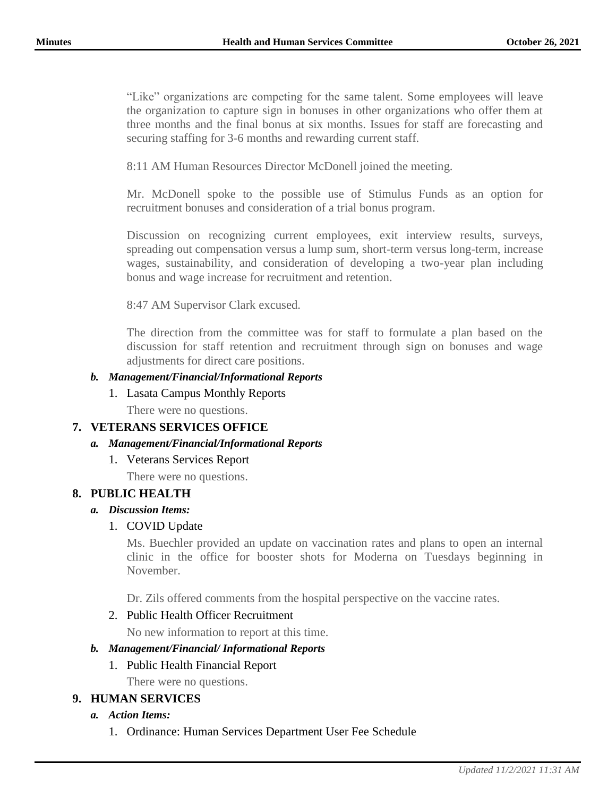"Like" organizations are competing for the same talent. Some employees will leave the organization to capture sign in bonuses in other organizations who offer them at three months and the final bonus at six months. Issues for staff are forecasting and securing staffing for 3-6 months and rewarding current staff.

8:11 AM Human Resources Director McDonell joined the meeting.

Mr. McDonell spoke to the possible use of Stimulus Funds as an option for recruitment bonuses and consideration of a trial bonus program.

Discussion on recognizing current employees, exit interview results, surveys, spreading out compensation versus a lump sum, short-term versus long-term, increase wages, sustainability, and consideration of developing a two-year plan including bonus and wage increase for recruitment and retention.

8:47 AM Supervisor Clark excused.

The direction from the committee was for staff to formulate a plan based on the discussion for staff retention and recruitment through sign on bonuses and wage adjustments for direct care positions.

#### *b. Management/Financial/Informational Reports*

#### 1. Lasata Campus Monthly Reports

There were no questions.

## **7. VETERANS SERVICES OFFICE**

## *a. Management/Financial/Informational Reports*

# 1. Veterans Services Report

There were no questions.

#### **8. PUBLIC HEALTH**

#### *a. Discussion Items:*

## 1. COVID Update

Ms. Buechler provided an update on vaccination rates and plans to open an internal clinic in the office for booster shots for Moderna on Tuesdays beginning in November.

Dr. Zils offered comments from the hospital perspective on the vaccine rates.

## 2. Public Health Officer Recruitment

No new information to report at this time.

#### *b. Management/Financial/ Informational Reports*

1. Public Health Financial Report

There were no questions.

## **9. HUMAN SERVICES**

#### *a. Action Items:*

1. Ordinance: Human Services Department User Fee Schedule